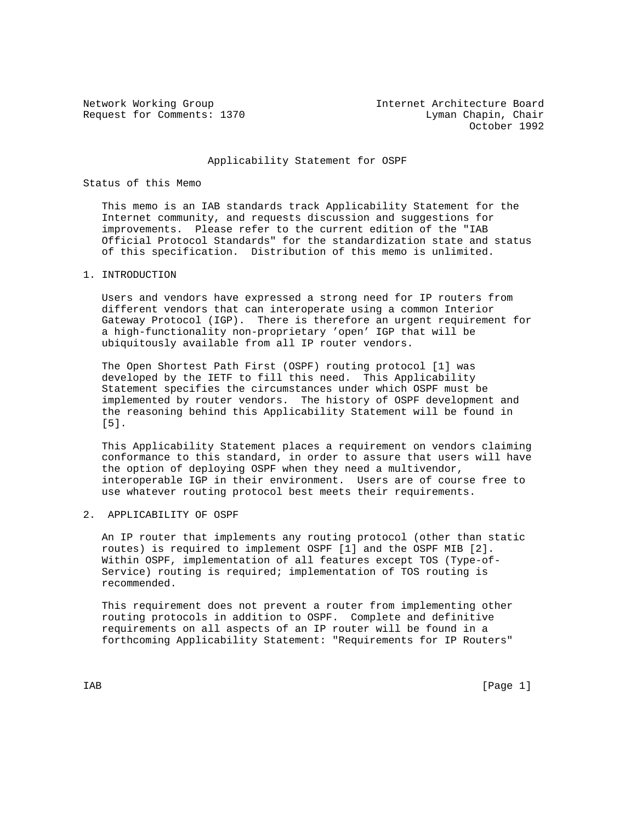Network Working Group Internet Architecture Board Request for Comments: 1370 **Lyman Chapin, Chair** October 1992

#### Applicability Statement for OSPF

### Status of this Memo

 This memo is an IAB standards track Applicability Statement for the Internet community, and requests discussion and suggestions for improvements. Please refer to the current edition of the "IAB Official Protocol Standards" for the standardization state and status of this specification. Distribution of this memo is unlimited.

# 1. INTRODUCTION

 Users and vendors have expressed a strong need for IP routers from different vendors that can interoperate using a common Interior Gateway Protocol (IGP). There is therefore an urgent requirement for a high-functionality non-proprietary 'open' IGP that will be ubiquitously available from all IP router vendors.

 The Open Shortest Path First (OSPF) routing protocol [1] was developed by the IETF to fill this need. This Applicability Statement specifies the circumstances under which OSPF must be implemented by router vendors. The history of OSPF development and the reasoning behind this Applicability Statement will be found in [5].

 This Applicability Statement places a requirement on vendors claiming conformance to this standard, in order to assure that users will have the option of deploying OSPF when they need a multivendor, interoperable IGP in their environment. Users are of course free to use whatever routing protocol best meets their requirements.

# 2. APPLICABILITY OF OSPF

 An IP router that implements any routing protocol (other than static routes) is required to implement OSPF [1] and the OSPF MIB [2]. Within OSPF, implementation of all features except TOS (Type-of- Service) routing is required; implementation of TOS routing is recommended.

 This requirement does not prevent a router from implementing other routing protocols in addition to OSPF. Complete and definitive requirements on all aspects of an IP router will be found in a forthcoming Applicability Statement: "Requirements for IP Routers"

IAB [Page 1]